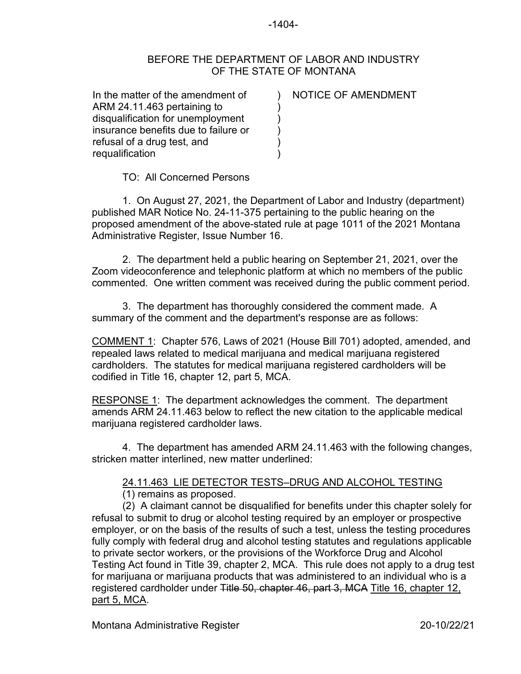## -1404-

## BEFORE THE DEPARTMENT OF LABOR AND INDUSTRY OF THE STATE OF MONTANA

) ) ) ) ) )

In the matter of the amendment of ARM 24.11.463 pertaining to disqualification for unemployment insurance benefits due to failure or refusal of a drug test, and requalification

## NOTICE OF AMENDMENT

TO: All Concerned Persons

1. On August 27, 2021, the Department of Labor and Industry (department) published MAR Notice No. 24-11-375 pertaining to the public hearing on the proposed amendment of the above-stated rule at page 1011 of the 2021 Montana Administrative Register, Issue Number 16.

2. The department held a public hearing on September 21, 2021, over the Zoom videoconference and telephonic platform at which no members of the public commented. One written comment was received during the public comment period.

3. The department has thoroughly considered the comment made. A summary of the comment and the department's response are as follows:

COMMENT 1: Chapter 576, Laws of 2021 (House Bill 701) adopted, amended, and repealed laws related to medical marijuana and medical marijuana registered cardholders. The statutes for medical marijuana registered cardholders will be codified in Title 16, chapter 12, part 5, MCA.

RESPONSE 1: The department acknowledges the comment. The department amends ARM 24.11.463 below to reflect the new citation to the applicable medical marijuana registered cardholder laws.

4. The department has amended ARM 24.11.463 with the following changes, stricken matter interlined, new matter underlined:

## 24.11.463 LIE DETECTOR TESTS–DRUG AND ALCOHOL TESTING

(1) remains as proposed.

(2) A claimant cannot be disqualified for benefits under this chapter solely for refusal to submit to drug or alcohol testing required by an employer or prospective employer, or on the basis of the results of such a test, unless the testing procedures fully comply with federal drug and alcohol testing statutes and regulations applicable to private sector workers, or the provisions of the Workforce Drug and Alcohol Testing Act found in Title 39, chapter 2, MCA. This rule does not apply to a drug test for marijuana or marijuana products that was administered to an individual who is a registered cardholder under Title 50, chapter 46, part 3, MCA Title 16, chapter 12, part 5, MCA.

Montana Administrative Register 20-10/22/21